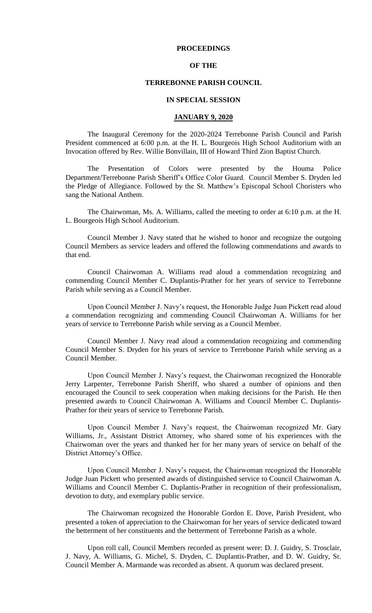#### **PROCEEDINGS**

## **OF THE**

# **TERREBONNE PARISH COUNCIL**

#### **IN SPECIAL SESSION**

## **JANUARY 9, 2020**

The Inaugural Ceremony for the 2020-2024 Terrebonne Parish Council and Parish President commenced at 6:00 p.m. at the H. L. Bourgeois High School Auditorium with an Invocation offered by Rev. Willie Bonvillain, III of Howard Third Zion Baptist Church.

The Presentation of Colors were presented by the Houma Police Department/Terrebonne Parish Sheriff's Office Color Guard. Council Member S. Dryden led the Pledge of Allegiance. Followed by the St. Matthew's Episcopal School Choristers who sang the National Anthem.

The Chairwoman, Ms. A. Williams, called the meeting to order at 6:10 p.m. at the H. L. Bourgeois High School Auditorium.

Council Member J. Navy stated that he wished to honor and recognize the outgoing Council Members as service leaders and offered the following commendations and awards to that end.

Council Chairwoman A. Williams read aloud a commendation recognizing and commending Council Member C. Duplantis-Prather for her years of service to Terrebonne Parish while serving as a Council Member.

Upon Council Member J. Navy's request, the Honorable Judge Juan Pickett read aloud a commendation recognizing and commending Council Chairwoman A. Williams for her years of service to Terrebonne Parish while serving as a Council Member.

Council Member J. Navy read aloud a commendation recognizing and commending Council Member S. Dryden for his years of service to Terrebonne Parish while serving as a Council Member.

Upon Council Member J. Navy's request, the Chairwoman recognized the Honorable Jerry Larpenter, Terrebonne Parish Sheriff, who shared a number of opinions and then encouraged the Council to seek cooperation when making decisions for the Parish. He then presented awards to Council Chairwoman A. Williams and Council Member C. Duplantis-Prather for their years of service to Terrebonne Parish.

Upon Council Member J. Navy's request, the Chairwoman recognized Mr. Gary Williams, Jr., Assistant District Attorney, who shared some of his experiences with the Chairwoman over the years and thanked her for her many years of service on behalf of the District Attorney's Office.

Upon Council Member J. Navy's request, the Chairwoman recognized the Honorable Judge Juan Pickett who presented awards of distinguished service to Council Chairwoman A. Williams and Council Member C. Duplantis-Prather in recognition of their professionalism, devotion to duty, and exemplary public service.

The Chairwoman recognized the Honorable Gordon E. Dove, Parish President, who presented a token of appreciation to the Chairwoman for her years of service dedicated toward the betterment of her constituents and the betterment of Terrebonne Parish as a whole.

Upon roll call, Council Members recorded as present were: D. J. Guidry, S. Trosclair, J. Navy, A. Williams, G. Michel, S. Dryden, C. Duplantis-Prather, and D. W. Guidry, Sr. Council Member A. Marmande was recorded as absent. A quorum was declared present.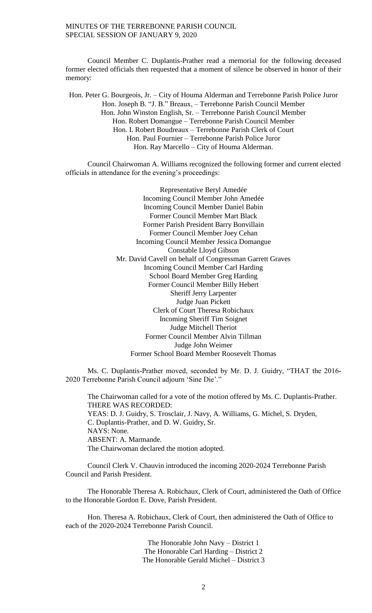MINUTES OF THE TERREBONNE PARISH COUNCIL SPECIAL SESSION OF JANUARY 9, 2020

Council Member C. Duplantis-Prather read a memorial for the following deceased former elected officials then requested that a moment of silence be observed in honor of their memory:

Hon. Peter G. Bourgeois, Jr. – City of Houma Alderman and Terrebonne Parish Police Juror Hon. Joseph B. "J. B." Breaux, – Terrebonne Parish Council Member Hon. John Winston English, Sr. – Terrebonne Parish Council Member Hon. Robert Domangue – Terrebonne Parish Council Member Hon. I. Robert Boudreaux – Terrebonne Parish Clerk of Court Hon. Paul Fournier – Terrebonne Parish Police Juror Hon. Ray Marcello – City of Houma Alderman.

Council Chairwoman A. Williams recognized the following former and current elected officials in attendance for the evening's proceedings:

> Representative Beryl Amedée Incoming Council Member John Amedée Incoming Council Member Daniel Babin Former Council Member Mart Black Former Parish President Barry Bonvillain Former Council Member Joey Cehan Incoming Council Member Jessica Domangue Constable Lloyd Gibson Mr. David Cavell on behalf of Congressman Garrett Graves Incoming Council Member Carl Harding School Board Member Greg Harding Former Council Member Billy Hebert Sheriff Jerry Larpenter Judge Juan Pickett Clerk of Court Theresa Robichaux Incoming Sheriff Tim Soignet Judge Mitchell Theriot Former Council Member Alvin Tillman Judge John Weimer Former School Board Member Roosevelt Thomas

Ms. C. Duplantis-Prather moved, seconded by Mr. D. J. Guidry, "THAT the 2016- 2020 Terrebonne Parish Council adjourn 'Sine Die'."

The Chairwoman called for a vote of the motion offered by Ms. C. Duplantis-Prather. THERE WAS RECORDED: YEAS: D. J. Guidry, S. Trosclair, J. Navy, A. Williams, G. Michel, S. Dryden, C. Duplantis-Prather, and D. W. Guidry, Sr. NAYS: None. ABSENT: A. Marmande. The Chairwoman declared the motion adopted.

Council Clerk V. Chauvin introduced the incoming 2020-2024 Terrebonne Parish Council and Parish President.

The Honorable Theresa A. Robichaux, Clerk of Court, administered the Oath of Office to the Honorable Gordon E. Dove, Parish President.

Hon. Theresa A. Robichaux, Clerk of Court, then administered the Oath of Office to each of the 2020-2024 Terrebonne Parish Council.

> The Honorable John Navy – District 1 The Honorable Carl Harding – District 2 The Honorable Gerald Michel – District 3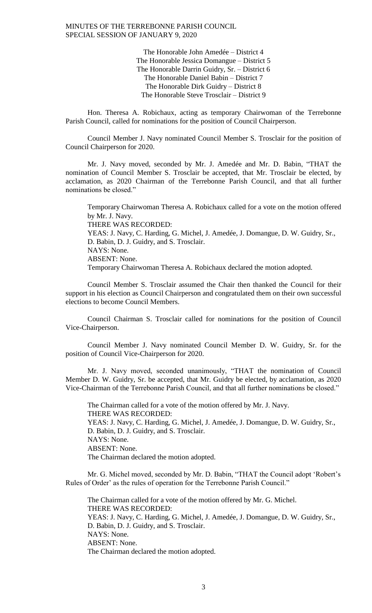The Honorable John Amedée – District 4 The Honorable Jessica Domangue – District 5 The Honorable Darrin Guidry, Sr. – District 6 The Honorable Daniel Babin – District 7 The Honorable Dirk Guidry – District 8 The Honorable Steve Trosclair – District 9

Hon. Theresa A. Robichaux, acting as temporary Chairwoman of the Terrebonne Parish Council, called for nominations for the position of Council Chairperson.

Council Member J. Navy nominated Council Member S. Trosclair for the position of Council Chairperson for 2020.

Mr. J. Navy moved, seconded by Mr. J. Amedée and Mr. D. Babin, "THAT the nomination of Council Member S. Trosclair be accepted, that Mr. Trosclair be elected, by acclamation, as 2020 Chairman of the Terrebonne Parish Council, and that all further nominations be closed."

Temporary Chairwoman Theresa A. Robichaux called for a vote on the motion offered by Mr. J. Navy. THERE WAS RECORDED: YEAS: J. Navy, C. Harding, G. Michel, J. Amedée, J. Domangue, D. W. Guidry, Sr., D. Babin, D. J. Guidry, and S. Trosclair. NAYS: None. ABSENT: None. Temporary Chairwoman Theresa A. Robichaux declared the motion adopted.

Council Member S. Trosclair assumed the Chair then thanked the Council for their support in his election as Council Chairperson and congratulated them on their own successful elections to become Council Members.

Council Chairman S. Trosclair called for nominations for the position of Council Vice-Chairperson.

Council Member J. Navy nominated Council Member D. W. Guidry, Sr. for the position of Council Vice-Chairperson for 2020.

Mr. J. Navy moved, seconded unanimously, "THAT the nomination of Council Member D. W. Guidry, Sr. be accepted, that Mr. Guidry be elected, by acclamation, as 2020 Vice-Chairman of the Terrebonne Parish Council, and that all further nominations be closed."

The Chairman called for a vote of the motion offered by Mr. J. Navy. THERE WAS RECORDED: YEAS: J. Navy, C. Harding, G. Michel, J. Amedée, J. Domangue, D. W. Guidry, Sr., D. Babin, D. J. Guidry, and S. Trosclair. NAYS: None. ABSENT: None. The Chairman declared the motion adopted.

Mr. G. Michel moved, seconded by Mr. D. Babin, "THAT the Council adopt 'Robert's Rules of Order' as the rules of operation for the Terrebonne Parish Council."

The Chairman called for a vote of the motion offered by Mr. G. Michel. THERE WAS RECORDED: YEAS: J. Navy, C. Harding, G. Michel, J. Amedée, J. Domangue, D. W. Guidry, Sr., D. Babin, D. J. Guidry, and S. Trosclair. NAYS: None. ABSENT: None. The Chairman declared the motion adopted.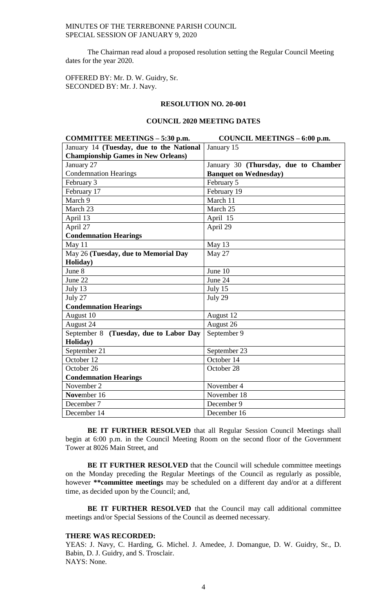# MINUTES OF THE TERREBONNE PARISH COUNCIL SPECIAL SESSION OF JANUARY 9, 2020

The Chairman read aloud a proposed resolution setting the Regular Council Meeting dates for the year 2020.

OFFERED BY: Mr. D. W. Guidry, Sr. SECONDED BY: Mr. J. Navy.

#### **RESOLUTION NO. 20-001**

# **COUNCIL 2020 MEETING DATES**

| COMMITTEE MEETINGS - 5:30 p.m.            | COUNCIL MEETINGS - 6:00 p.m.         |
|-------------------------------------------|--------------------------------------|
| January 14 (Tuesday, due to the National  | January 15                           |
| <b>Championship Games in New Orleans)</b> |                                      |
| January 27                                | January 30 (Thursday, due to Chamber |
| <b>Condemnation Hearings</b>              | <b>Banquet on Wednesday)</b>         |
| February 3                                | February 5                           |
| February 17                               | February 19                          |
| March 9                                   | March 11                             |
| March 23                                  | March 25                             |
| April 13                                  | April 15                             |
| April 27                                  | April 29                             |
| <b>Condemnation Hearings</b>              |                                      |
| May 11                                    | May 13                               |
| May 26 (Tuesday, due to Memorial Day      | May 27                               |
| Holiday)                                  |                                      |
| June 8                                    | June 10                              |
| June 22                                   | June 24                              |
| July 13                                   | July 15                              |
| July 27                                   | July 29                              |
| <b>Condemnation Hearings</b>              |                                      |
| August 10                                 | August 12                            |
| August 24                                 | August 26                            |
| September 8 (Tuesday, due to Labor Day    | September 9                          |
| Holiday)                                  |                                      |
| September 21                              | September 23                         |
| October 12                                | October 14                           |
| October 26                                | October 28                           |
| <b>Condemnation Hearings</b>              |                                      |
| November 2                                | November 4                           |
| November 16                               | November 18                          |
| December 7                                | December 9                           |
| December 14                               | December 16                          |

**BE IT FURTHER RESOLVED** that all Regular Session Council Meetings shall begin at 6:00 p.m. in the Council Meeting Room on the second floor of the Government Tower at 8026 Main Street, and

BE IT FURTHER RESOLVED that the Council will schedule committee meetings on the Monday preceding the Regular Meetings of the Council as regularly as possible, however **\*\*committee meetings** may be scheduled on a different day and/or at a different time, as decided upon by the Council; and,

**BE IT FURTHER RESOLVED** that the Council may call additional committee meetings and/or Special Sessions of the Council as deemed necessary.

## **THERE WAS RECORDED:**

YEAS: J. Navy, C. Harding, G. Michel. J. Amedee, J. Domangue, D. W. Guidry, Sr., D. Babin, D. J. Guidry, and S. Trosclair. NAYS: None.